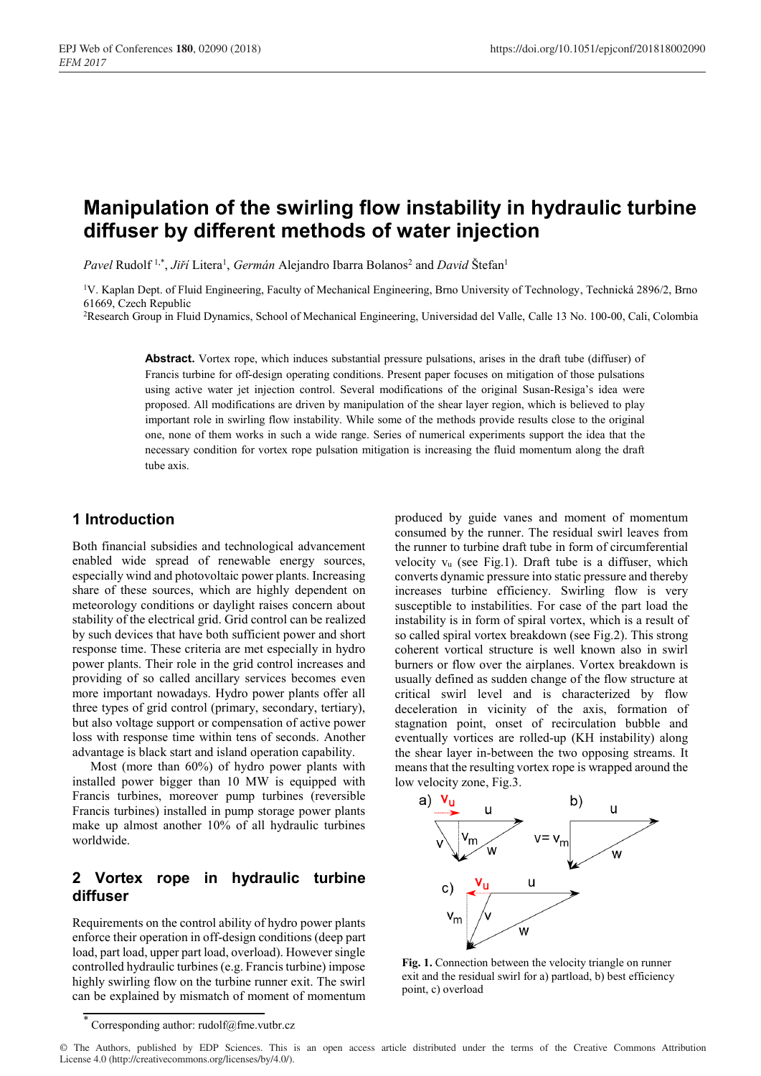# **Manipulation of the swirling flow instability in hydraulic turbine diffuser by different methods of water injection**

Pavel Rudolf<sup>1,\*</sup>, *Jiří* Litera<sup>1</sup>, *Germán* Alejandro Ibarra Bolanos<sup>2</sup> and *David* Štefan<sup>1</sup>

<sup>1</sup>V. Kaplan Dept. of Fluid Engineering, Faculty of Mechanical Engineering, Brno University of Technology, Technická 2896/2, Brno 61669, Czech Republic

2Research Group in Fluid Dynamics, School of Mechanical Engineering, Universidad del Valle, Calle 13 No. 100-00, Cali, Colombia

**Abstract.** Vortex rope, which induces substantial pressure pulsations, arises in the draft tube (diffuser) of Francis turbine for off-design operating conditions. Present paper focuses on mitigation of those pulsations using active water jet injection control. Several modifications of the original Susan-Resiga's idea were proposed. All modifications are driven by manipulation of the shear layer region, which is believed to play important role in swirling flow instability. While some of the methods provide results close to the original one, none of them works in such a wide range. Series of numerical experiments support the idea that the necessary condition for vortex rope pulsation mitigation is increasing the fluid momentum along the draft tube axis.

## **1 Introduction**

Both financial subsidies and technological advancement enabled wide spread of renewable energy sources, especially wind and photovoltaic power plants. Increasing share of these sources, which are highly dependent on meteorology conditions or daylight raises concern about stability of the electrical grid. Grid control can be realized by such devices that have both sufficient power and short response time. These criteria are met especially in hydro power plants. Their role in the grid control increases and providing of so called ancillary services becomes even more important nowadays. Hydro power plants offer all three types of grid control (primary, secondary, tertiary), but also voltage support or compensation of active power loss with response time within tens of seconds. Another advantage is black start and island operation capability.

Most (more than 60%) of hydro power plants with installed power bigger than 10 MW is equipped with Francis turbines, moreover pump turbines (reversible Francis turbines) installed in pump storage power plants make up almost another 10% of all hydraulic turbines worldwide.

# **2 Vortex rope in hydraulic turbine diffuser**

Requirements on the control ability of hydro power plants enforce their operation in off-design conditions (deep part load, part load, upper part load, overload). However single controlled hydraulic turbines (e.g. Francis turbine) impose highly swirling flow on the turbine runner exit. The swirl can be explained by mismatch of moment of momentum

produced by guide vanes and moment of momentum consumed by the runner. The residual swirl leaves from the runner to turbine draft tube in form of circumferential velocity vu (see Fig.1). Draft tube is a diffuser, which converts dynamic pressure into static pressure and thereby increases turbine efficiency. Swirling flow is very susceptible to instabilities. For case of the part load the instability is in form of spiral vortex, which is a result of so called spiral vortex breakdown (see Fig.2). This strong coherent vortical structure is well known also in swirl burners or flow over the airplanes. Vortex breakdown is usually defined as sudden change of the flow structure at critical swirl level and is characterized by flow deceleration in vicinity of the axis, formation of stagnation point, onset of recirculation bubble and eventually vortices are rolled-up (KH instability) along the shear layer in-between the two opposing streams. It means that the resulting vortex rope is wrapped around the low velocity zone, Fig.3.



**Fig. 1.** Connection between the velocity triangle on runner exit and the residual swirl for a) partload, b) best efficiency point, c) overload

© The Authors, published by EDP Sciences. This is an open access article distributed under the terms of the Creative Commons Attribution License 4.0 (http://creativecommons.org/licenses/by/4.0/).

Corresponding author: rudolf@fme.vutbr.cz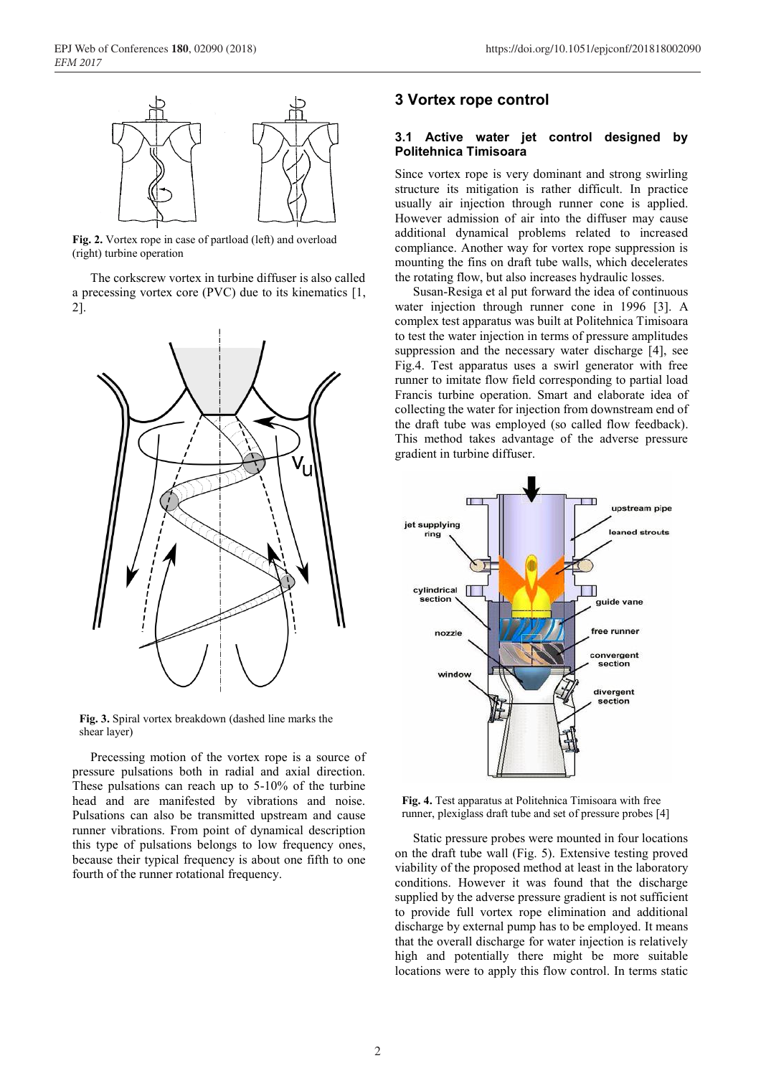

**Fig. 2.** Vortex rope in case of partload (left) and overload (right) turbine operation

The corkscrew vortex in turbine diffuser is also called a precessing vortex core (PVC) due to its kinematics [1, 2].



**Fig. 3.** Spiral vortex breakdown (dashed line marks the shear layer)

Precessing motion of the vortex rope is a source of pressure pulsations both in radial and axial direction. These pulsations can reach up to 5-10% of the turbine head and are manifested by vibrations and noise. Pulsations can also be transmitted upstream and cause runner vibrations. From point of dynamical description this type of pulsations belongs to low frequency ones, because their typical frequency is about one fifth to one fourth of the runner rotational frequency.

## **3 Vortex rope control**

#### **3.1 Active water jet control designed by Politehnica Timisoara**

Since vortex rope is very dominant and strong swirling structure its mitigation is rather difficult. In practice usually air injection through runner cone is applied. However admission of air into the diffuser may cause additional dynamical problems related to increased compliance. Another way for vortex rope suppression is mounting the fins on draft tube walls, which decelerates the rotating flow, but also increases hydraulic losses.

Susan-Resiga et al put forward the idea of continuous water injection through runner cone in 1996 [3]. A complex test apparatus was built at Politehnica Timisoara to test the water injection in terms of pressure amplitudes suppression and the necessary water discharge [4], see Fig.4. Test apparatus uses a swirl generator with free runner to imitate flow field corresponding to partial load Francis turbine operation. Smart and elaborate idea of collecting the water for injection from downstream end of the draft tube was employed (so called flow feedback). This method takes advantage of the adverse pressure gradient in turbine diffuser.



**Fig. 4.** Test apparatus at Politehnica Timisoara with free runner, plexiglass draft tube and set of pressure probes [4]

Static pressure probes were mounted in four locations on the draft tube wall (Fig. 5). Extensive testing proved viability of the proposed method at least in the laboratory conditions. However it was found that the discharge supplied by the adverse pressure gradient is not sufficient to provide full vortex rope elimination and additional discharge by external pump has to be employed. It means that the overall discharge for water injection is relatively high and potentially there might be more suitable locations were to apply this flow control. In terms static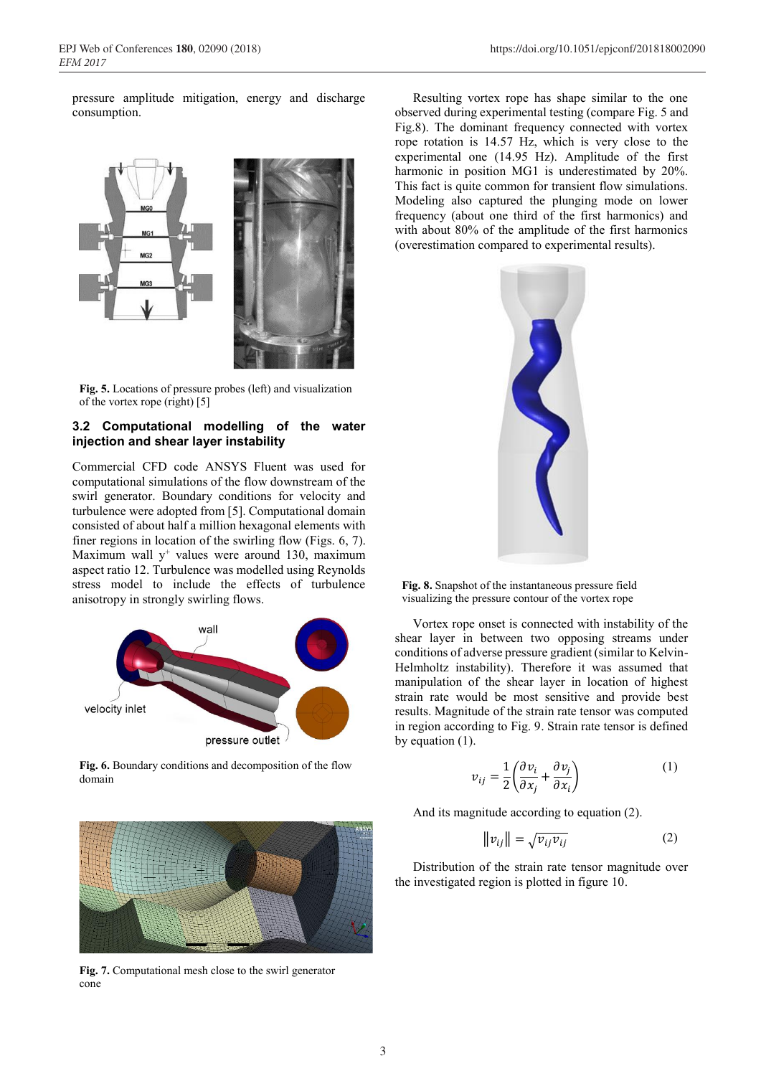pressure amplitude mitigation, energy and discharge consumption.



**Fig. 5.** Locations of pressure probes (left) and visualization of the vortex rope (right) [5]

#### **3.2 Computational modelling of the water injection and shear layer instability**

Commercial CFD code ANSYS Fluent was used for computational simulations of the flow downstream of the swirl generator. Boundary conditions for velocity and turbulence were adopted from [5]. Computational domain consisted of about half a million hexagonal elements with finer regions in location of the swirling flow (Figs. 6, 7). Maximum wall  $y^+$  values were around 130, maximum aspect ratio 12. Turbulence was modelled using Reynolds stress model to include the effects of turbulence anisotropy in strongly swirling flows.



**Fig. 6.** Boundary conditions and decomposition of the flow domain



**Fig. 7.** Computational mesh close to the swirl generator cone

Resulting vortex rope has shape similar to the one observed during experimental testing (compare Fig. 5 and Fig.8). The dominant frequency connected with vortex rope rotation is 14.57 Hz, which is very close to the experimental one (14.95 Hz). Amplitude of the first harmonic in position MG1 is underestimated by 20%. This fact is quite common for transient flow simulations. Modeling also captured the plunging mode on lower frequency (about one third of the first harmonics) and with about 80% of the amplitude of the first harmonics (overestimation compared to experimental results).



**Fig. 8.** Snapshot of the instantaneous pressure field visualizing the pressure contour of the vortex rope

Vortex rope onset is connected with instability of the shear layer in between two opposing streams under conditions of adverse pressure gradient (similar to Kelvin-Helmholtz instability). Therefore it was assumed that manipulation of the shear layer in location of highest strain rate would be most sensitive and provide best results. Magnitude of the strain rate tensor was computed in region according to Fig. 9. Strain rate tensor is defined by equation (1).

$$
v_{ij} = \frac{1}{2} \left( \frac{\partial v_i}{\partial x_j} + \frac{\partial v_j}{\partial x_i} \right)
$$
 (1)

And its magnitude according to equation (2).

$$
\|v_{ij}\| = \sqrt{v_{ij}v_{ij}}\tag{2}
$$

Distribution of the strain rate tensor magnitude over the investigated region is plotted in figure 10.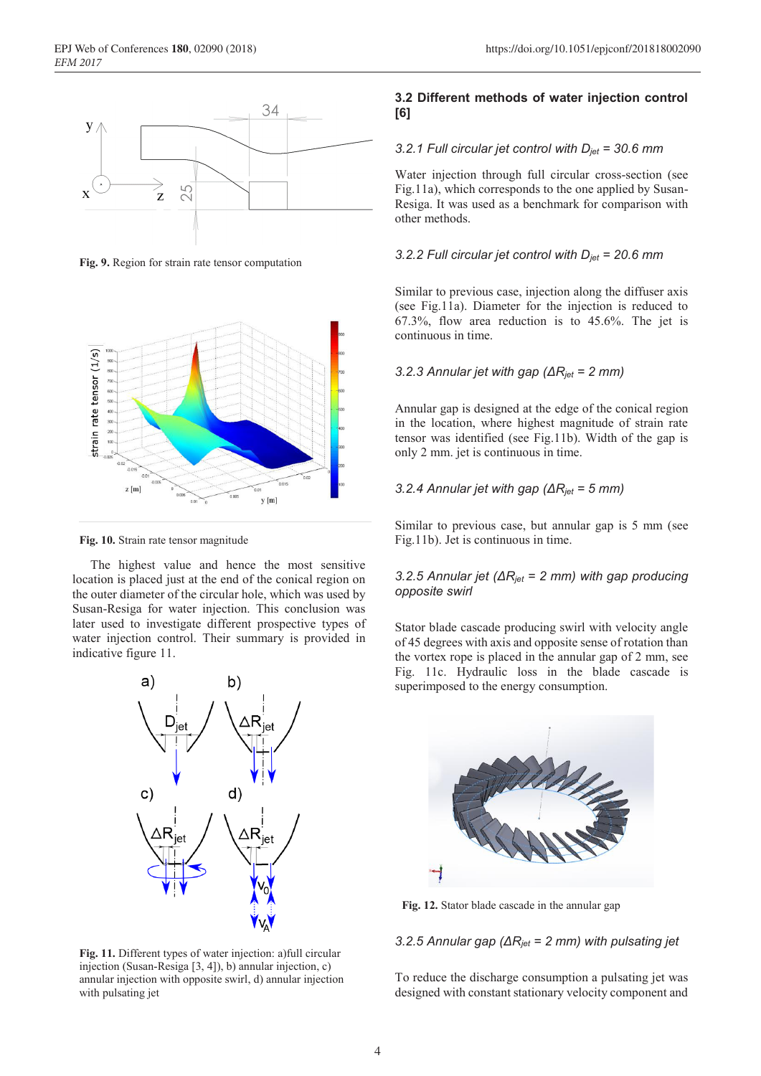

**Fig. 9.** Region for strain rate tensor computation



**Fig. 10.** Strain rate tensor magnitude

The highest value and hence the most sensitive location is placed just at the end of the conical region on the outer diameter of the circular hole, which was used by Susan-Resiga for water injection. This conclusion was later used to investigate different prospective types of water injection control. Their summary is provided in indicative figure 11.



**Fig. 11.** Different types of water injection: a)full circular injection (Susan-Resiga [3, 4]), b) annular injection, c) annular injection with opposite swirl, d) annular injection with pulsating jet

### **3.2 Different methods of water injection control [6]**

#### *3.2.1 Full circular jet control with Djet = 30.6 mm*

Water injection through full circular cross-section (see Fig.11a), which corresponds to the one applied by Susan-Resiga. It was used as a benchmark for comparison with other methods.

#### *3.2.2 Full circular jet control with Djet = 20.6 mm*

Similar to previous case, injection along the diffuser axis (see Fig.11a). Diameter for the injection is reduced to 67.3%, flow area reduction is to 45.6%. The jet is continuous in time.

#### *3.2.3 Annular jet with gap (ΔRjet = 2 mm)*

Annular gap is designed at the edge of the conical region in the location, where highest magnitude of strain rate tensor was identified (see Fig.11b). Width of the gap is only 2 mm. jet is continuous in time.

#### *3.2.4 Annular jet with gap (ΔRjet = 5 mm)*

Similar to previous case, but annular gap is 5 mm (see Fig.11b). Jet is continuous in time.

#### *3.2.5 Annular jet (ΔRjet = 2 mm) with gap producing opposite swirl*

Stator blade cascade producing swirl with velocity angle of 45 degrees with axis and opposite sense of rotation than the vortex rope is placed in the annular gap of 2 mm, see Fig. 11c. Hydraulic loss in the blade cascade is superimposed to the energy consumption.



**Fig. 12.** Stator blade cascade in the annular gap

#### *3.2.5 Annular gap (ΔRjet = 2 mm) with pulsating jet*

To reduce the discharge consumption a pulsating jet was designed with constant stationary velocity component and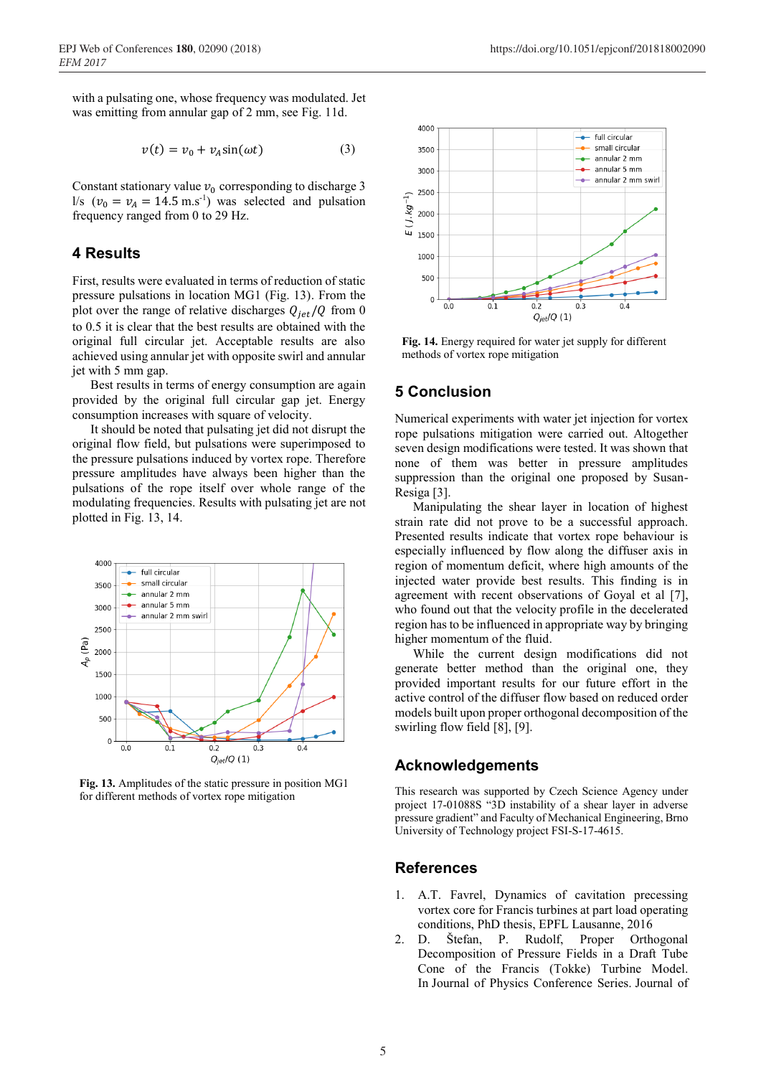with a pulsating one, whose frequency was modulated. Jet was emitting from annular gap of 2 mm, see Fig. 11d.

$$
v(t) = v_0 + v_A \sin(\omega t) \tag{3}
$$

Constant stationary value  $v_0$  corresponding to discharge 3  $l/s$  ( $v_0 = v_A = 14.5$  m.s<sup>-1</sup>) was selected and pulsation frequency ranged from 0 to 29 Hz.

## **4 Results**

First, results were evaluated in terms of reduction of static pressure pulsations in location MG1 (Fig. 13). From the plot over the range of relative discharges  $Q_{jet}/Q$  from 0 to 0.5 it is clear that the best results are obtained with the original full circular jet. Acceptable results are also achieved using annular jet with opposite swirl and annular jet with 5 mm gap.

Best results in terms of energy consumption are again provided by the original full circular gap jet. Energy consumption increases with square of velocity.

It should be noted that pulsating jet did not disrupt the original flow field, but pulsations were superimposed to the pressure pulsations induced by vortex rope. Therefore pressure amplitudes have always been higher than the pulsations of the rope itself over whole range of the modulating frequencies. Results with pulsating jet are not plotted in Fig. 13, 14.



**Fig. 13.** Amplitudes of the static pressure in position MG1 for different methods of vortex rope mitigation



**Fig. 14.** Energy required for water jet supply for different methods of vortex rope mitigation

## **5 Conclusion**

Numerical experiments with water jet injection for vortex rope pulsations mitigation were carried out. Altogether seven design modifications were tested. It was shown that none of them was better in pressure amplitudes suppression than the original one proposed by Susan-Resiga [3].

Manipulating the shear layer in location of highest strain rate did not prove to be a successful approach. Presented results indicate that vortex rope behaviour is especially influenced by flow along the diffuser axis in region of momentum deficit, where high amounts of the injected water provide best results. This finding is in agreement with recent observations of Goyal et al [7], who found out that the velocity profile in the decelerated region has to be influenced in appropriate way by bringing higher momentum of the fluid.

While the current design modifications did not generate better method than the original one, they provided important results for our future effort in the active control of the diffuser flow based on reduced order models built upon proper orthogonal decomposition of the swirling flow field [8], [9].

## **Acknowledgements**

This research was supported by Czech Science Agency under project 17-01088S "3D instability of a shear layer in adverse pressure gradient" and Faculty of Mechanical Engineering, Brno University of Technology project FSI-S-17-4615.

## **References**

- 1. A.T. Favrel, Dynamics of cavitation precessing vortex core for Francis turbines at part load operating conditions, PhD thesis, EPFL Lausanne, 2016
- 2. D. Štefan, P. Rudolf, Proper Orthogonal Decomposition of Pressure Fields in a Draft Tube Cone of the Francis (Tokke) Turbine Model. In Journal of Physics Conference Series. Journal of